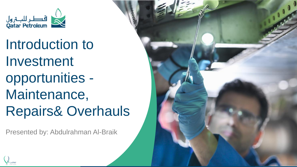

Introduction to Investment opportunities - Maintenance, Repairs& Overhauls

Presented by: Abdulrahman Al -Braik

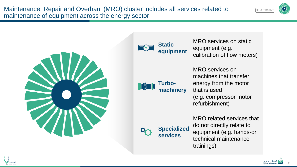





MRO services on static equipment (e.g. calibration of flow meters)



MRO services on machines that transfer energy from the motor that is used (e.g. compressor motor refurbishment)



**Specialized services**

MRO related services that do not directly relate to equipment (e.g. hands-on technical maintenance trainings)



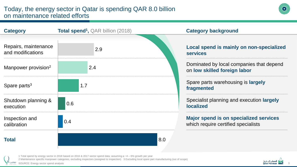

| <b>Category</b>                           | <b>Total spend<sup>1</sup></b> , QAR billion (2018)<br><b>Category background</b> |                                                                                      |  |
|-------------------------------------------|-----------------------------------------------------------------------------------|--------------------------------------------------------------------------------------|--|
|                                           |                                                                                   |                                                                                      |  |
| Repairs, maintenance<br>and modifications | 2.9                                                                               | Local spend is mainly on non-specialized<br><b>services</b>                          |  |
| Manpower provision <sup>2</sup>           | 2.4                                                                               | Dominated by local companies that depend<br>on low skilled foreign labor             |  |
| Spare parts <sup>3</sup>                  | 1.7                                                                               | Spare parts warehousing is largely<br>fragmented                                     |  |
| Shutdown planning &<br>execution          | 0.6                                                                               | Specialist planning and execution largely<br><b>localized</b>                        |  |
| Inspection and<br>calibration             | 0.4                                                                               | <b>Major spend is on specialized services</b><br>which require certified specialists |  |
| <b>Total</b>                              |                                                                                   | 8.0                                                                                  |  |

1 Total spend by energy sector in 2018 based on 2016 & 2017 sector spend data; assuming a ~4 – 6% growth per year

2 Maintenance specific manpower categories, excluding inspectors (assigned to inspection) 3 Excluding local spare part manufacturing (out of scope)

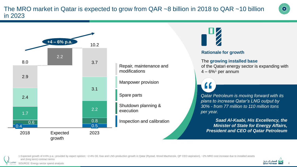The MRO market in Qatar is expected to grow from QAR ~8 billion in 2018 to QAR ~10 billion in 2023



## **Rationale for growth**

The **growing installed base**  of the Qatari energy sector is expanding with  $4 - 6\%$ <sup>1</sup> per annum

*Qatar Petroleum is moving forward with its plans to increase Qatar's LNG output by 30% - from 77 million to 110 million tons per year.* **11**<br>atar<br>lans<br>0% -

*Saad Al-Kaabi, His Excellency, the Minister of State for Energy Affairs, President and CEO of Qatar Petroleum*

4



1 Expected growth of 4-6% p.a.; provided by expert opinion; ~2-4% Oil, Gas and LNG production growth in Qatar (Rystad, Wood MacKenzie, QP CEO aspiration), ~2% MRO cost increase due to installed assets and (long term) contract terms

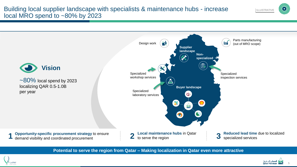

**Potential to serve the region from Qatar – Making localization in Qatar even more attractive**





ILLUSTRATIVE